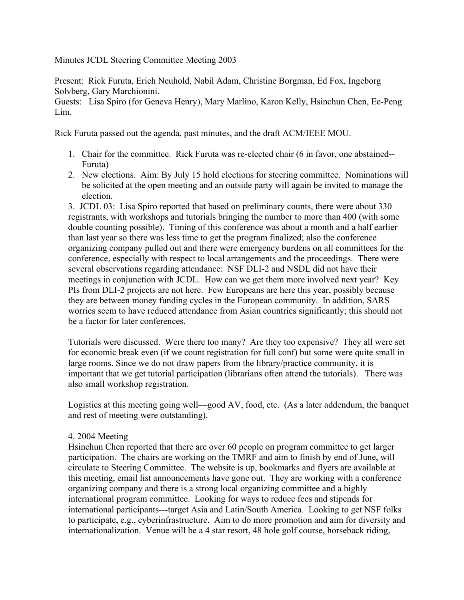Minutes JCDL Steering Committee Meeting 2003

Present: Rick Furuta, Erich Neuhold, Nabil Adam, Christine Borgman, Ed Fox, Ingeborg Solvberg, Gary Marchionini.

Guests: Lisa Spiro (for Geneva Henry), Mary Marlino, Karon Kelly, Hsinchun Chen, Ee-Peng Lim.

Rick Furuta passed out the agenda, past minutes, and the draft ACM/IEEE MOU.

- 1. Chair for the committee. Rick Furuta was re-elected chair (6 in favor, one abstained-- Furuta)
- 2. New elections. Aim: By July 15 hold elections for steering committee. Nominations will be solicited at the open meeting and an outside party will again be invited to manage the election.

3. JCDL 03: Lisa Spiro reported that based on preliminary counts, there were about 330 registrants, with workshops and tutorials bringing the number to more than 400 (with some double counting possible). Timing of this conference was about a month and a half earlier than last year so there was less time to get the program finalized; also the conference organizing company pulled out and there were emergency burdens on all committees for the conference, especially with respect to local arrangements and the proceedings. There were several observations regarding attendance: NSF DLI-2 and NSDL did not have their meetings in conjunction with JCDL. How can we get them more involved next year? Key PIs from DLI-2 projects are not here. Few Europeans are here this year, possibly because they are between money funding cycles in the European community. In addition, SARS worries seem to have reduced attendance from Asian countries significantly; this should not be a factor for later conferences.

Tutorials were discussed. Were there too many? Are they too expensive? They all were set for economic break even (if we count registration for full conf) but some were quite small in large rooms. Since we do not draw papers from the library/practice community, it is important that we get tutorial participation (librarians often attend the tutorials). There was also small workshop registration.

Logistics at this meeting going well—good AV, food, etc. (As a later addendum, the banquet and rest of meeting were outstanding).

## 4. 2004 Meeting

Hsinchun Chen reported that there are over 60 people on program committee to get larger participation. The chairs are working on the TMRF and aim to finish by end of June, will circulate to Steering Committee. The website is up, bookmarks and flyers are available at this meeting, email list announcements have gone out. They are working with a conference organizing company and there is a strong local organizing committee and a highly international program committee. Looking for ways to reduce fees and stipends for international participants---target Asia and Latin/South America. Looking to get NSF folks to participate, e.g., cyberinfrastructure. Aim to do more promotion and aim for diversity and internationalization. Venue will be a 4 star resort, 48 hole golf course, horseback riding,